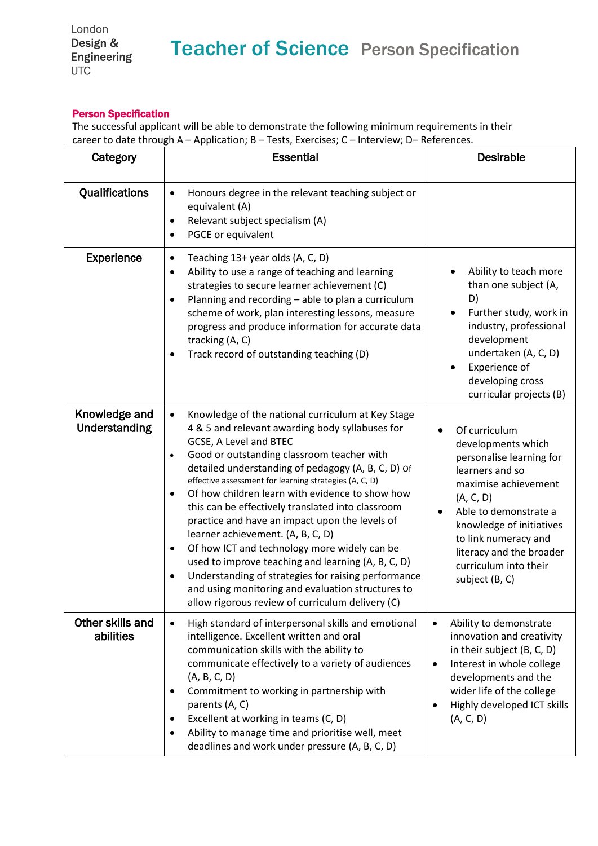## Person Specification

The successful applicant will be able to demonstrate the following minimum requirements in their career to date through A – Application; B – Tests, Exercises; C – Interview; D– References.

| Category                       | <b>Essential</b>                                                                                                                                                                                                                                                                                                                                                                                                                                                                                                                                                                                                                                                                                                                                                                                                   | <b>Desirable</b>                                                                                                                                                                                                                                                            |
|--------------------------------|--------------------------------------------------------------------------------------------------------------------------------------------------------------------------------------------------------------------------------------------------------------------------------------------------------------------------------------------------------------------------------------------------------------------------------------------------------------------------------------------------------------------------------------------------------------------------------------------------------------------------------------------------------------------------------------------------------------------------------------------------------------------------------------------------------------------|-----------------------------------------------------------------------------------------------------------------------------------------------------------------------------------------------------------------------------------------------------------------------------|
| Qualifications                 | Honours degree in the relevant teaching subject or<br>$\bullet$<br>equivalent (A)<br>Relevant subject specialism (A)<br>$\bullet$<br>PGCE or equivalent                                                                                                                                                                                                                                                                                                                                                                                                                                                                                                                                                                                                                                                            |                                                                                                                                                                                                                                                                             |
| <b>Experience</b>              | Teaching 13+ year olds (A, C, D)<br>$\bullet$<br>Ability to use a range of teaching and learning<br>$\bullet$<br>strategies to secure learner achievement (C)<br>Planning and recording - able to plan a curriculum<br>٠<br>scheme of work, plan interesting lessons, measure<br>progress and produce information for accurate data<br>tracking (A, C)<br>Track record of outstanding teaching (D)                                                                                                                                                                                                                                                                                                                                                                                                                 | Ability to teach more<br>than one subject (A,<br>D)<br>Further study, work in<br>industry, professional<br>development<br>undertaken (A, C, D)<br>Experience of<br>developing cross<br>curricular projects (B)                                                              |
| Knowledge and<br>Understanding | Knowledge of the national curriculum at Key Stage<br>$\bullet$<br>4 & 5 and relevant awarding body syllabuses for<br>GCSE, A Level and BTEC<br>Good or outstanding classroom teacher with<br>$\bullet$<br>detailed understanding of pedagogy (A, B, C, D) of<br>effective assessment for learning strategies (A, C, D)<br>Of how children learn with evidence to show how<br>٠<br>this can be effectively translated into classroom<br>practice and have an impact upon the levels of<br>learner achievement. (A, B, C, D)<br>Of how ICT and technology more widely can be<br>٠<br>used to improve teaching and learning (A, B, C, D)<br>Understanding of strategies for raising performance<br>$\bullet$<br>and using monitoring and evaluation structures to<br>allow rigorous review of curriculum delivery (C) | Of curriculum<br>developments which<br>personalise learning for<br>learners and so<br>maximise achievement<br>(A, C, D)<br>Able to demonstrate a<br>knowledge of initiatives<br>to link numeracy and<br>literacy and the broader<br>curriculum into their<br>subject (B, C) |
| Other skills and<br>abilities  | High standard of interpersonal skills and emotional<br>$\bullet$<br>intelligence. Excellent written and oral<br>communication skills with the ability to<br>communicate effectively to a variety of audiences<br>(A, B, C, D)<br>Commitment to working in partnership with<br>٠<br>parents (A, C)<br>Excellent at working in teams (C, D)<br>$\bullet$<br>Ability to manage time and prioritise well, meet<br>deadlines and work under pressure (A, B, C, D)                                                                                                                                                                                                                                                                                                                                                       | Ability to demonstrate<br>$\bullet$<br>innovation and creativity<br>in their subject (B, C, D)<br>Interest in whole college<br>$\bullet$<br>developments and the<br>wider life of the college<br>Highly developed ICT skills<br>(A, C, D)                                   |